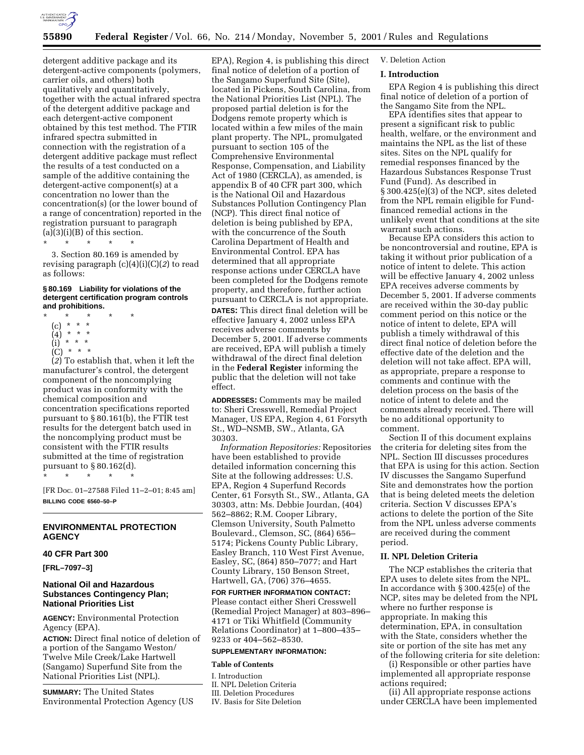

detergent additive package and its detergent-active components (polymers, carrier oils, and others) both qualitatively and quantitatively, together with the actual infrared spectra of the detergent additive package and each detergent-active component obtained by this test method. The FTIR infrared spectra submitted in connection with the registration of a detergent additive package must reflect the results of a test conducted on a sample of the additive containing the detergent-active component(s) at a concentration no lower than the concentration(s) (or the lower bound of a range of concentration) reported in the registration pursuant to paragraph  $(a)(3)(i)(B)$  of this section.

\* \* \* \* \*

3. Section 80.169 is amended by revising paragraph (c)(4)(i)(C)(*2*) to read as follows:

### **§ 80.169 Liability for violations of the detergent certification program controls and prohibitions.**

- \* \* \* \* \*
	- (c) \* \* \*
	- $(4)$  \* \* \*<br>(i) \* \* \*  $\star$   $\star$   $\star$
	- (C) \* \* \*

(*2*) To establish that, when it left the manufacturer's control, the detergent component of the noncomplying product was in conformity with the chemical composition and concentration specifications reported pursuant to § 80.161(b), the FTIR test results for the detergent batch used in the noncomplying product must be consistent with the FTIR results submitted at the time of registration pursuant to § 80.162(d).

\* \* \* \* \*

[FR Doc. 01–27588 Filed 11–2–01; 8:45 am] **BILLING CODE 6560–50–P**

## **ENVIRONMENTAL PROTECTION AGENCY**

### **40 CFR Part 300**

**[FRL–7097–3]**

## **National Oil and Hazardous Substances Contingency Plan; National Priorities List**

**AGENCY:** Environmental Protection Agency (EPA).

**ACTION:** Direct final notice of deletion of a portion of the Sangamo Weston/ Twelve Mile Creek/Lake Hartwell (Sangamo) Superfund Site from the National Priorities List (NPL).

**SUMMARY:** The United States Environmental Protection Agency (US

EPA), Region 4, is publishing this direct final notice of deletion of a portion of the Sangamo Superfund Site (Site), located in Pickens, South Carolina, from the National Priorities List (NPL). The proposed partial deletion is for the Dodgens remote property which is located within a few miles of the main plant property. The NPL, promulgated pursuant to section 105 of the Comprehensive Environmental Response, Compensation, and Liability Act of 1980 (CERCLA), as amended, is appendix B of 40 CFR part 300, which is the National Oil and Hazardous Substances Pollution Contingency Plan (NCP). This direct final notice of deletion is being published by EPA, with the concurrence of the South Carolina Department of Health and Environmental Control. EPA has determined that all appropriate response actions under CERCLA have been completed for the Dodgens remote property, and therefore, further action pursuant to CERCLA is not appropriate. **DATES:** This direct final deletion will be effective January 4, 2002 unless EPA receives adverse comments by December 5, 2001. If adverse comments are received, EPA will publish a timely withdrawal of the direct final deletion in the **Federal Register** informing the public that the deletion will not take effect.

**ADDRESSES:** Comments may be mailed to: Sheri Cresswell, Remedial Project Manager, US EPA, Region 4, 61 Forsyth St., WD–NSMB, SW., Atlanta, GA 30303.

*Information Repositories:* Repositories have been established to provide detailed information concerning this Site at the following addresses: U.S. EPA, Region 4 Superfund Records Center, 61 Forsyth St., SW., Atlanta, GA 30303, attn: Ms. Debbie Jourdan, (404) 562–8862; R.M. Cooper Library, Clemson University, South Palmetto Boulevard., Clemson, SC, (864) 656– 5174; Pickens County Public Library, Easley Branch, 110 West First Avenue, Easley, SC, (864) 850–7077; and Hart County Library, 150 Benson Street, Hartwell, GA, (706) 376–4655.

# **FOR FURTHER INFORMATION CONTACT:**

Please contact either Sheri Cresswell (Remedial Project Manager) at 803–896– 4171 or Tiki Whitfield (Community Relations Coordinator) at 1–800–435– 9233 or 404–562–8530.

# **SUPPLEMENTARY INFORMATION:**

## **Table of Contents**

- I. Introduction II. NPL Deletion Criteria III. Deletion Procedures
- IV. Basis for Site Deletion

### V. Deletion Action

## **I. Introduction**

EPA Region 4 is publishing this direct final notice of deletion of a portion of the Sangamo Site from the NPL.

EPA identifies sites that appear to present a significant risk to public health, welfare, or the environment and maintains the NPL as the list of these sites. Sites on the NPL qualify for remedial responses financed by the Hazardous Substances Response Trust Fund (Fund). As described in § 300.425(e)(3) of the NCP, sites deleted from the NPL remain eligible for Fundfinanced remedial actions in the unlikely event that conditions at the site warrant such actions.

Because EPA considers this action to be noncontroversial and routine, EPA is taking it without prior publication of a notice of intent to delete. This action will be effective January 4, 2002 unless EPA receives adverse comments by December 5, 2001. If adverse comments are received within the 30-day public comment period on this notice or the notice of intent to delete, EPA will publish a timely withdrawal of this direct final notice of deletion before the effective date of the deletion and the deletion will not take affect. EPA will, as appropriate, prepare a response to comments and continue with the deletion process on the basis of the notice of intent to delete and the comments already received. There will be no additional opportunity to comment.

Section II of this document explains the criteria for deleting sites from the NPL. Section III discusses procedures that EPA is using for this action. Section IV discusses the Sangamo Superfund Site and demonstrates how the portion that is being deleted meets the deletion criteria. Section V discusses EPA's actions to delete the portion of the Site from the NPL unless adverse comments are received during the comment period.

# **II. NPL Deletion Criteria**

The NCP establishes the criteria that EPA uses to delete sites from the NPL. In accordance with § 300.425(e) of the NCP, sites may be deleted from the NPL where no further response is appropriate. In making this determination, EPA, in consultation with the State, considers whether the site or portion of the site has met any of the following criteria for site deletion:

(i) Responsible or other parties have implemented all appropriate response actions required;

(ii) All appropriate response actions under CERCLA have been implemented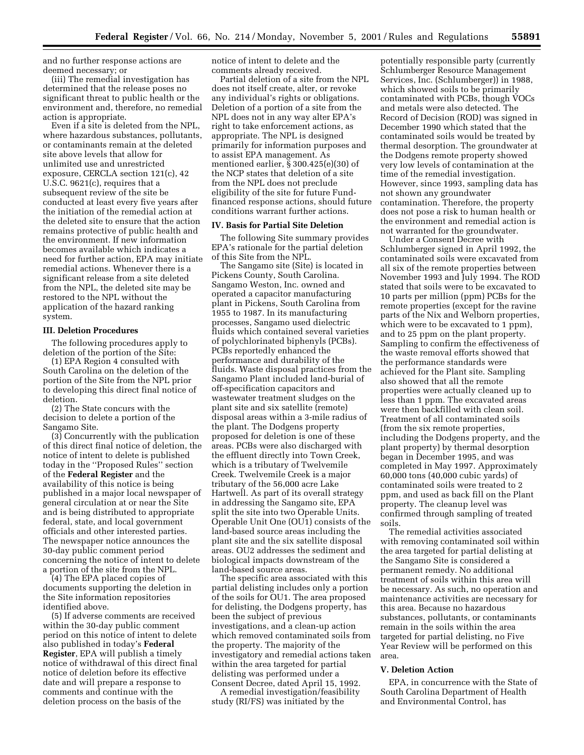and no further response actions are deemed necessary; or

(iii) The remedial investigation has determined that the release poses no significant threat to public health or the environment and, therefore, no remedial action is appropriate.

Even if a site is deleted from the NPL, where hazardous substances, pollutants, or contaminants remain at the deleted site above levels that allow for unlimited use and unrestricted exposure, CERCLA section 121(c), 42 U.S.C. 9621(c), requires that a subsequent review of the site be conducted at least every five years after the initiation of the remedial action at the deleted site to ensure that the action remains protective of public health and the environment. If new information becomes available which indicates a need for further action, EPA may initiate remedial actions. Whenever there is a significant release from a site deleted from the NPL, the deleted site may be restored to the NPL without the application of the hazard ranking system.

### **III. Deletion Procedures**

The following procedures apply to deletion of the portion of the Site:

(1) EPA Region 4 consulted with South Carolina on the deletion of the portion of the Site from the NPL prior to developing this direct final notice of deletion.

(2) The State concurs with the decision to delete a portion of the Sangamo Site.

(3) Concurrently with the publication of this direct final notice of deletion, the notice of intent to delete is published today in the ''Proposed Rules'' section of the **Federal Register** and the availability of this notice is being published in a major local newspaper of general circulation at or near the Site and is being distributed to appropriate federal, state, and local government officials and other interested parties. The newspaper notice announces the 30-day public comment period concerning the notice of intent to delete a portion of the site from the NPL.

(4) The EPA placed copies of documents supporting the deletion in the Site information repositories identified above.

(5) If adverse comments are received within the 30-day public comment period on this notice of intent to delete also published in today's **Federal Register**, EPA will publish a timely notice of withdrawal of this direct final notice of deletion before its effective date and will prepare a response to comments and continue with the deletion process on the basis of the

notice of intent to delete and the comments already received.

Partial deletion of a site from the NPL does not itself create, alter, or revoke any individual's rights or obligations. Deletion of a portion of a site from the NPL does not in any way alter EPA's right to take enforcement actions, as appropriate. The NPL is designed primarily for information purposes and to assist EPA management. As mentioned earlier, § 300.425(e)(30) of the NCP states that deletion of a site from the NPL does not preclude eligibility of the site for future Fundfinanced response actions, should future conditions warrant further actions.

## **IV. Basis for Partial Site Deletion**

The following Site summary provides EPA's rationale for the partial deletion of this Site from the NPL.

The Sangamo site (Site) is located in Pickens County, South Carolina. Sangamo Weston, Inc. owned and operated a capacitor manufacturing plant in Pickens, South Carolina from 1955 to 1987. In its manufacturing processes, Sangamo used dielectric fluids which contained several varieties of polychlorinated biphenyls (PCBs). PCBs reportedly enhanced the performance and durability of the fluids. Waste disposal practices from the Sangamo Plant included land-burial of off-specification capacitors and wastewater treatment sludges on the plant site and six satellite (remote) disposal areas within a 3-mile radius of the plant. The Dodgens property proposed for deletion is one of these areas. PCBs were also discharged with the effluent directly into Town Creek, which is a tributary of Twelvemile Creek. Twelvemile Creek is a major tributary of the 56,000 acre Lake Hartwell. As part of its overall strategy in addressing the Sangamo site, EPA split the site into two Operable Units. Operable Unit One (OU1) consists of the land-based source areas including the plant site and the six satellite disposal areas. OU2 addresses the sediment and biological impacts downstream of the land-based source areas.

The specific area associated with this partial delisting includes only a portion of the soils for OU1. The area proposed for delisting, the Dodgens property, has been the subject of previous investigations, and a clean-up action which removed contaminated soils from the property. The majority of the investigatory and remedial actions taken within the area targeted for partial delisting was performed under a Consent Decree, dated April 15, 1992.

A remedial investigation/feasibility study (RI/FS) was initiated by the

potentially responsible party (currently Schlumberger Resource Management Services, Inc. (Schlumberger)) in 1988, which showed soils to be primarily contaminated with PCBs, though VOCs and metals were also detected. The Record of Decision (ROD) was signed in December 1990 which stated that the contaminated soils would be treated by thermal desorption. The groundwater at the Dodgens remote property showed very low levels of contamination at the time of the remedial investigation. However, since 1993, sampling data has not shown any groundwater contamination. Therefore, the property does not pose a risk to human health or the environment and remedial action is not warranted for the groundwater.

Under a Consent Decree with Schlumberger signed in April 1992, the contaminated soils were excavated from all six of the remote properties between November 1993 and July 1994. The ROD stated that soils were to be excavated to 10 parts per million (ppm) PCBs for the remote properties (except for the ravine parts of the Nix and Welborn properties, which were to be excavated to 1 ppm), and to 25 ppm on the plant property. Sampling to confirm the effectiveness of the waste removal efforts showed that the performance standards were achieved for the Plant site. Sampling also showed that all the remote properties were actually cleaned up to less than 1 ppm. The excavated areas were then backfilled with clean soil. Treatment of all contaminated soils (from the six remote properties, including the Dodgens property, and the plant property) by thermal desorption began in December 1995, and was completed in May 1997. Approximately 60,000 tons (40,000 cubic yards) of contaminated soils were treated to 2 ppm, and used as back fill on the Plant property. The cleanup level was confirmed through sampling of treated soils.

The remedial activities associated with removing contaminated soil within the area targeted for partial delisting at the Sangamo Site is considered a permanent remedy. No additional treatment of soils within this area will be necessary. As such, no operation and maintenance activities are necessary for this area. Because no hazardous substances, pollutants, or contaminants remain in the soils within the area targeted for partial delisting, no Five Year Review will be performed on this area.

## **V. Deletion Action**

EPA, in concurrence with the State of South Carolina Department of Health and Environmental Control, has